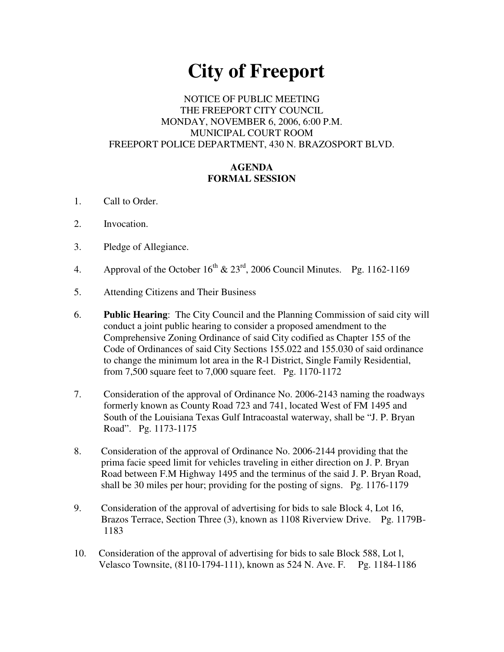# **City of Freeport**

## NOTICE OF PUBLIC MEETING THE FREEPORT CITY COUNCIL MONDAY, NOVEMBER 6, 2006, 6:00 P.M. MUNICIPAL COURT ROOM FREEPORT POLICE DEPARTMENT, 430 N. BRAZOSPORT BLVD.

### **AGENDA FORMAL SESSION**

- 1. Call to Order.
- 2. Invocation.
- 3. Pledge of Allegiance.
- 4. Approval of the October  $16^{th}$  &  $23^{rd}$ , 2006 Council Minutes. Pg. 1162-1169
- 5. Attending Citizens and Their Business
- 6. **Public Hearing**: The City Council and the Planning Commission of said city will conduct a joint public hearing to consider a proposed amendment to the Comprehensive Zoning Ordinance of said City codified as Chapter 155 of the Code of Ordinances of said City Sections 155.022 and 155.030 of said ordinance to change the minimum lot area in the R-l District, Single Family Residential, from 7,500 square feet to 7,000 square feet. Pg. 1170-1172
- 7. Consideration of the approval of Ordinance No. 2006-2143 naming the roadways formerly known as County Road 723 and 741, located West of FM 1495 and South of the Louisiana Texas Gulf Intracoastal waterway, shall be "J. P. Bryan Road". Pg. 1173-1175
- 8. Consideration of the approval of Ordinance No. 2006-2144 providing that the prima facie speed limit for vehicles traveling in either direction on J. P. Bryan Road between F.M Highway 1495 and the terminus of the said J. P. Bryan Road, shall be 30 miles per hour; providing for the posting of signs. Pg. 1176-1179
- 9. Consideration of the approval of advertising for bids to sale Block 4, Lot 16, Brazos Terrace, Section Three (3), known as 1108 Riverview Drive. Pg. 1179B-1183
- 10. Consideration of the approval of advertising for bids to sale Block 588, Lot l, Velasco Townsite, (8110-1794-111), known as 524 N. Ave. F. Pg. 1184-1186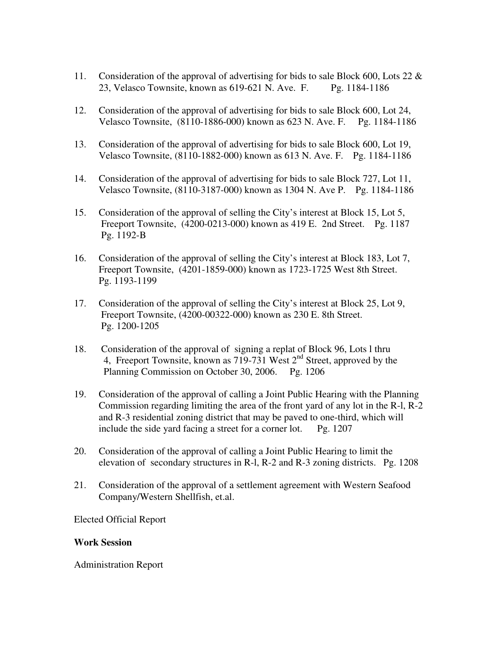- 11. Consideration of the approval of advertising for bids to sale Block 600, Lots 22 & 23, Velasco Townsite, known as 619-621 N. Ave. F. Pg. 1184-1186
- 12. Consideration of the approval of advertising for bids to sale Block 600, Lot 24, Velasco Townsite, (8110-1886-000) known as 623 N. Ave. F. Pg. 1184-1186
- 13. Consideration of the approval of advertising for bids to sale Block 600, Lot 19, Velasco Townsite, (8110-1882-000) known as 613 N. Ave. F. Pg. 1184-1186
- 14. Consideration of the approval of advertising for bids to sale Block 727, Lot 11, Velasco Townsite, (8110-3187-000) known as 1304 N. Ave P. Pg. 1184-1186
- 15. Consideration of the approval of selling the City's interest at Block 15, Lot 5, Freeport Townsite, (4200-0213-000) known as 419 E. 2nd Street. Pg. 1187 Pg. 1192-B
- 16. Consideration of the approval of selling the City's interest at Block 183, Lot 7, Freeport Townsite, (4201-1859-000) known as 1723-1725 West 8th Street. Pg. 1193-1199
- 17. Consideration of the approval of selling the City's interest at Block 25, Lot 9, Freeport Townsite, (4200-00322-000) known as 230 E. 8th Street. Pg. 1200-1205
- 18. Consideration of the approval of signing a replat of Block 96, Lots l thru 4, Freeport Townsite, known as  $719-731$  West  $2<sup>nd</sup>$  Street, approved by the Planning Commission on October 30, 2006. Pg. 1206
- 19. Consideration of the approval of calling a Joint Public Hearing with the Planning Commission regarding limiting the area of the front yard of any lot in the R-l, R-2 and R-3 residential zoning district that may be paved to one-third, which will include the side yard facing a street for a corner lot. Pg. 1207
- 20. Consideration of the approval of calling a Joint Public Hearing to limit the elevation of secondary structures in R-l, R-2 and R-3 zoning districts. Pg. 1208
- 21. Consideration of the approval of a settlement agreement with Western Seafood Company/Western Shellfish, et.al.

Elected Official Report

#### **Work Session**

Administration Report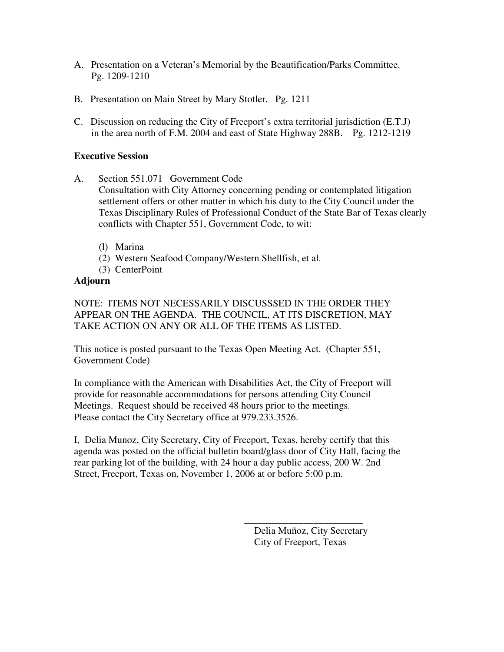- A. Presentation on a Veteran's Memorial by the Beautification/Parks Committee. Pg. 1209-1210
- B. Presentation on Main Street by Mary Stotler. Pg. 1211
- C. Discussion on reducing the City of Freeport's extra territorial jurisdiction (E.T.J) in the area north of F.M. 2004 and east of State Highway 288B. Pg. 1212-1219

#### **Executive Session**

- A. Section 551.071 Government Code Consultation with City Attorney concerning pending or contemplated litigation settlement offers or other matter in which his duty to the City Council under the Texas Disciplinary Rules of Professional Conduct of the State Bar of Texas clearly conflicts with Chapter 551, Government Code, to wit:
	- (l) Marina
	- (2) Western Seafood Company/Western Shellfish, et al.
	- (3) CenterPoint

#### **Adjourn**

NOTE: ITEMS NOT NECESSARILY DISCUSSSED IN THE ORDER THEY APPEAR ON THE AGENDA. THE COUNCIL, AT ITS DISCRETION, MAY TAKE ACTION ON ANY OR ALL OF THE ITEMS AS LISTED.

This notice is posted pursuant to the Texas Open Meeting Act. (Chapter 551, Government Code)

In compliance with the American with Disabilities Act, the City of Freeport will provide for reasonable accommodations for persons attending City Council Meetings. Request should be received 48 hours prior to the meetings. Please contact the City Secretary office at 979.233.3526.

I, Delia Munoz, City Secretary, City of Freeport, Texas, hereby certify that this agenda was posted on the official bulletin board/glass door of City Hall, facing the rear parking lot of the building, with 24 hour a day public access, 200 W. 2nd Street, Freeport, Texas on, November 1, 2006 at or before 5:00 p.m.

> Delia Muñoz, City Secretary City of Freeport, Texas

\_\_\_\_\_\_\_\_\_\_\_\_\_\_\_\_\_\_\_\_\_\_\_\_